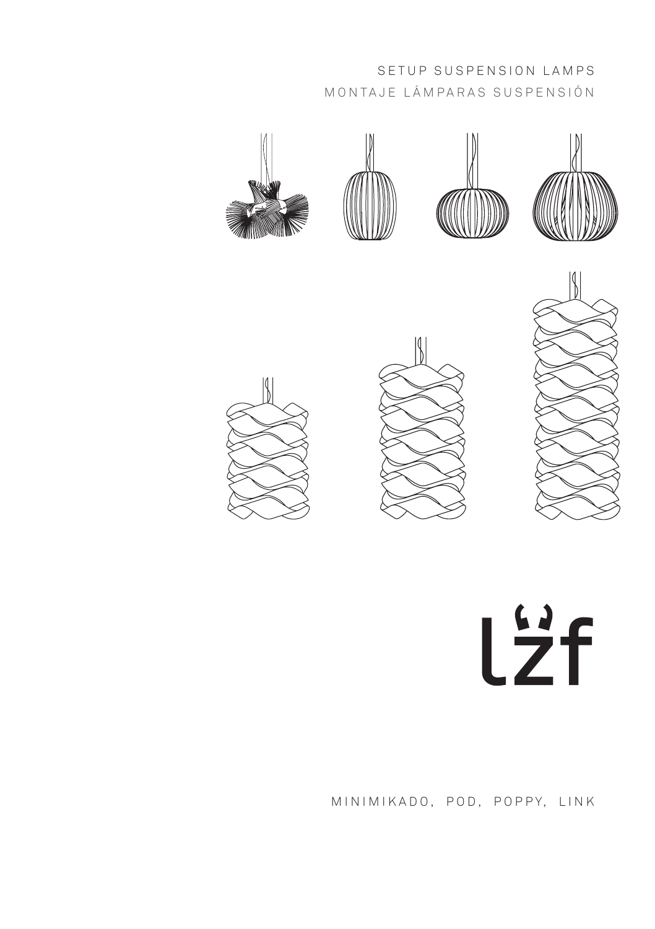# SETUP SUSPENSION LAMPS MONTAJE LÁMPARAS SUSPENSIÓN













M IN I M I K A DO, POD, POPPY, LINK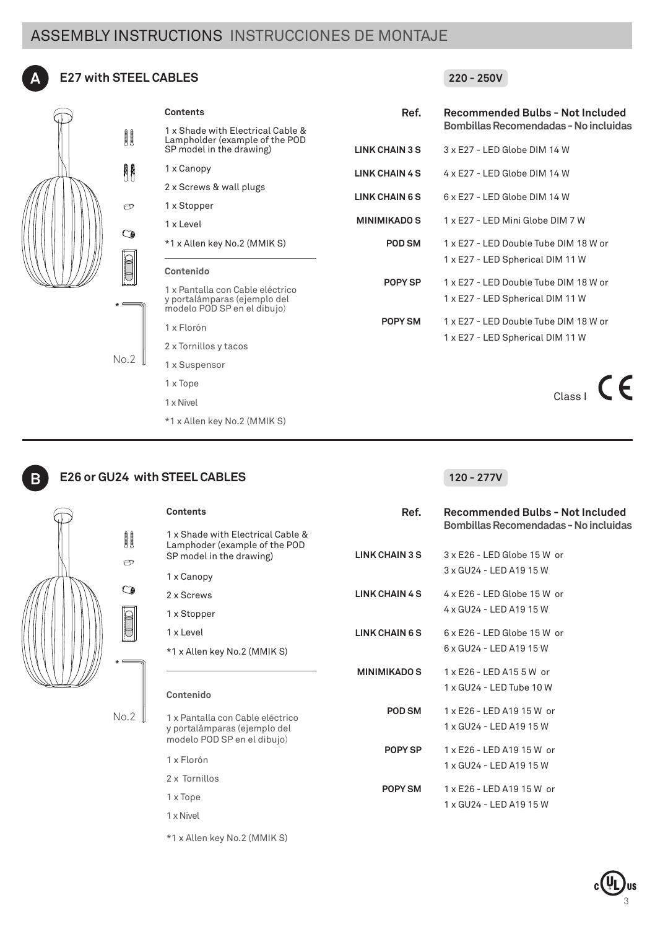# ASSEMBLY INSTRUCTIONS INSTRUCCIONES DE MONTAJE



# **A E27 with STEEL CABLES**



| Contents                                                                                        | Ref.                | Recommended Bulbs - Not Included      |
|-------------------------------------------------------------------------------------------------|---------------------|---------------------------------------|
| 1 x Shade with Electrical Cable &                                                               |                     | Bombillas Recomendadas - No incluidas |
| Lampholder (example of the POD<br>SP model in the drawing)                                      | LINK CHAIN 3 S      | 3 x E27 - LED Globe DIM 14 W          |
| 1 x Canopy                                                                                      | LINK CHAIN 4 S      | 4 x E27 - LED Globe DIM 14 W          |
| 2 x Screws & wall plugs                                                                         | LINK CHAIN 6 S      |                                       |
| 1 x Stopper                                                                                     |                     | 6 x E27 - LED Globe DIM 14 W          |
| 1 x Level                                                                                       | <b>MINIMIKADO S</b> | 1 x E27 - LED Mini Globe DIM 7 W      |
| *1 x Allen key No.2 (MMIK S)                                                                    | POD SM              | 1 x E27 - LED Double Tube DIM 18 W or |
|                                                                                                 |                     | 1 x E27 - LED Spherical DIM 11 W      |
| Contenido                                                                                       | POPY SP             | 1 x E27 - LED Double Tube DIM 18 W or |
| 1 x Pantalla con Cable eléctrico<br>y portalámparas (ejemplo del<br>modelo POD SP en el dibujo) |                     | 1 x E27 - LED Spherical DIM 11 W      |
| 1 x Florón                                                                                      | POPY SM             | 1 x E27 - LED Double Tube DIM 18 W or |
| 2 x Tornillos y tacos                                                                           |                     | 1 x E27 - LED Spherical DIM 11 W      |
| 1 x Suspensor                                                                                   |                     |                                       |
| 1 x Tope                                                                                        |                     |                                       |
| 1 x Nivel                                                                                       |                     |                                       |



No.2

**B**

# **E26 or GU24 with STEEL CABLES**

 $N_0.2$ 

\*1 x Allen key No.2 (MMIK S)

# **120 - 277V**

**220 - 250V**

| Contents                                                                                       | Ref.                | Recommended Bulbs - Not Included<br>Bombillas Recomendadas - No incluidas |
|------------------------------------------------------------------------------------------------|---------------------|---------------------------------------------------------------------------|
| 1 x Shade with Electrical Cable &<br>Lamphoder (example of the POD<br>SP model in the drawing) | LINK CHAIN 3 S      | $3 \times$ E26 - LED Globe 15 W or                                        |
| 1 x Canopy                                                                                     |                     | 3 x GU24 - LED A19 15 W                                                   |
| 2 x Screws                                                                                     | LINK CHAIN 4 S      | $4 \times$ E26 - LED Globe 15 W or                                        |
| 1 x Stopper                                                                                    |                     | 4 x GU24 - LED A19 15 W                                                   |
| 1 x Level                                                                                      | LINK CHAIN 6 S      | $6 \times$ E26 - LED Globe 15 W or                                        |
| *1 x Allen key No.2 (MMIK S)                                                                   |                     | 6 x GU24 - LED A19 15 W                                                   |
|                                                                                                | <b>MINIMIKADO S</b> | 1 x E26 - LED A15 5 W or                                                  |
| Contenido                                                                                      |                     | 1 x GU24 - LED Tube 10 W                                                  |
| 1 x Pantalla con Cable eléctrico                                                               | POD SM              | 1 x F26 - I FD A19 15 W or                                                |
| y portalámparas (ejemplo del                                                                   |                     | 1 x GU24 - LED A19 15 W                                                   |
| modelo POD SP en el dibujo)                                                                    | POPY SP             | 1 x E26 - LED A19 15 W or                                                 |
| 1 x Florón                                                                                     |                     | 1 x GU24 - LED A19 15 W                                                   |
| 2 x Tornillos                                                                                  | POPY SM             | 1 x E26 - LED A19 15 W or                                                 |
| 1 x Tope                                                                                       |                     | 1 x GU24 - LED A19 15 W                                                   |
| 1 x Nivel                                                                                      |                     |                                                                           |

\*1 x Allen key No.2 (MMIK S)

3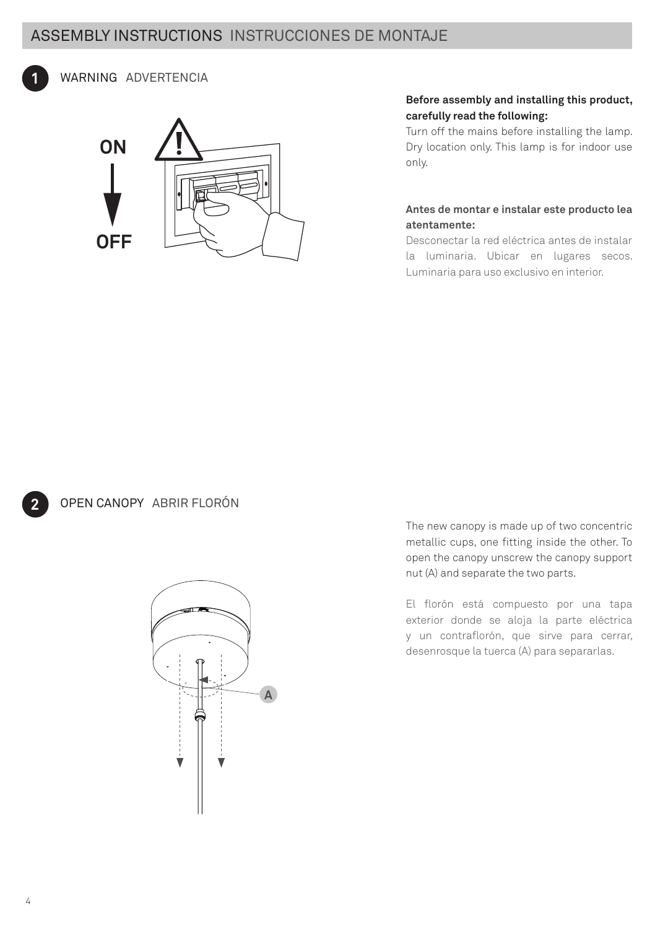# ASSEMBLY INSTRUCTIONS INSTRUCCIONES DE MONTAJE



# WARNING ADVERTENCIA



# **Before assembly and installing this product, carefully read the following:**

Turn off the mains before installing the lamp. Dry location only. This lamp is for indoor use only.

### **Antes de montar e instalar este producto lea atentamente:**

Desconectar la red eléctrica antes de instalar la luminaria. Ubicar en lugares secos. Luminaria para uso exclusivo en interior.

OPEN CANOPY ABRIR FLORÓN



The new canopy is made up of two concentric metallic cups, one fitting inside the other. To open the canopy unscrew the canopy support nut (A) and separate the two parts.

El florón está compuesto por una tapa exterior donde se aloja la parte eléctrica y un contraflorón, que sirve para cerrar, desenrosque la tuerca (A) para separarlas.

**2**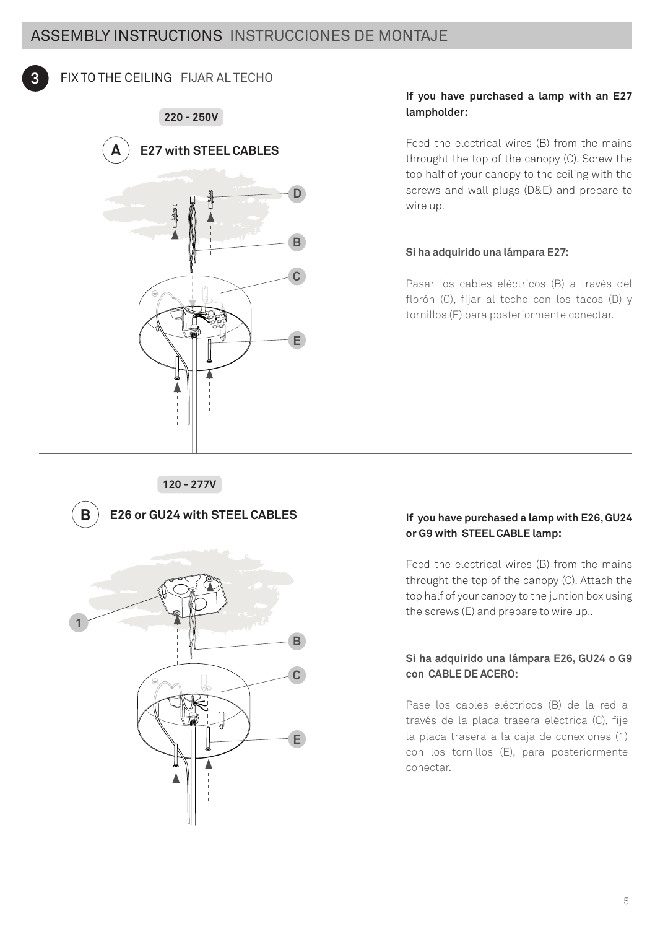

# FIX TO THE CEILING FIJAR AL TECHO

**220 - 250V**



### **If you have purchased a lamp with an E27 lampholder:**

Feed the electrical wires (B) from the mains throught the top of the canopy (C). Screw the top half of your canopy to the ceiling with the screws and wall plugs (D&E) and prepare to wire up.

### **Si ha adquirido una lámpara E27:**

Pasar los cables eléctricos (B) a través del florón (C), fijar al techo con los tacos (D) y tornillos (E) para posteriormente conectar.

### **If you have purchased a lamp with E26, GU24 or G9 with STEEL CABLE lamp:**

Feed the electrical wires (B) from the mains throught the top of the canopy (C). Attach the top half of your canopy to the juntion box using the screws (E) and prepare to wire up..

# **Si ha adquirido una lámpara E26, GU24 o G9 con CABLE DE ACERO:**

Pase los cables eléctricos (B) de la red a través de la placa trasera eléctrica (C), fije la placa trasera a la caja de conexiones (1) con los tornillos (E), para posteriormente conectar.

### **120 - 277V**



**B E26 or GU24 with STEEL CABLES**

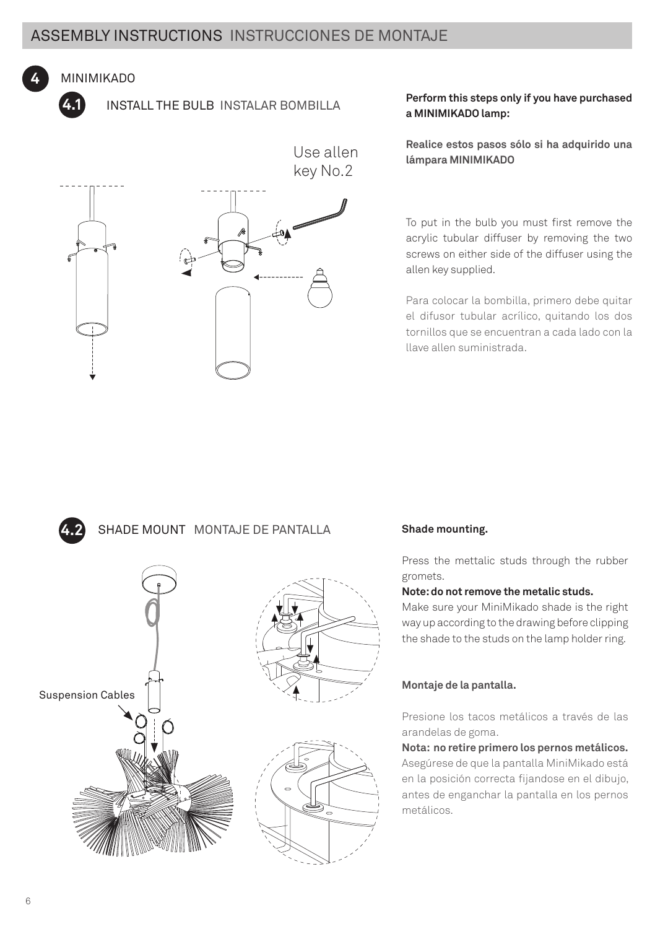Use allen

# MINIMIKADO

**4.1**

**4.2**

**4**

INSTALL THE BULB INSTALAR BOMBILLA



# **Perform this steps only if you have purchased a MINIMIKADO lamp:**

**Realice estos pasos sólo si ha adquirido una lámpara MINIMIKADO**

To put in the bulb you must first remove the acrylic tubular diffuser by removing the two screws on either side of the diffuser using the allen key supplied.

Para colocar la bombilla, primero debe quitar el difusor tubular acrílico, quitando los dos tornillos que se encuentran a cada lado con la llave allen suministrada.

# SHADE MOUNT MONTAJE DE PANTALLA



# **Shade mounting.**

Press the mettalic studs through the rubber gromets.

### **Note: do not remove the metalic studs.**

Make sure your MiniMikado shade is the right way up according to the drawing before clipping the shade to the studs on the lamp holder ring.

# **Montaje de la pantalla.**

Presione los tacos metálicos a través de las arandelas de goma.

**Nota: no retire primero los pernos metálicos.**

Asegúrese de que la pantalla MiniMikado está en la posición correcta fijandose en el dibujo, antes de enganchar la pantalla en los pernos metálicos.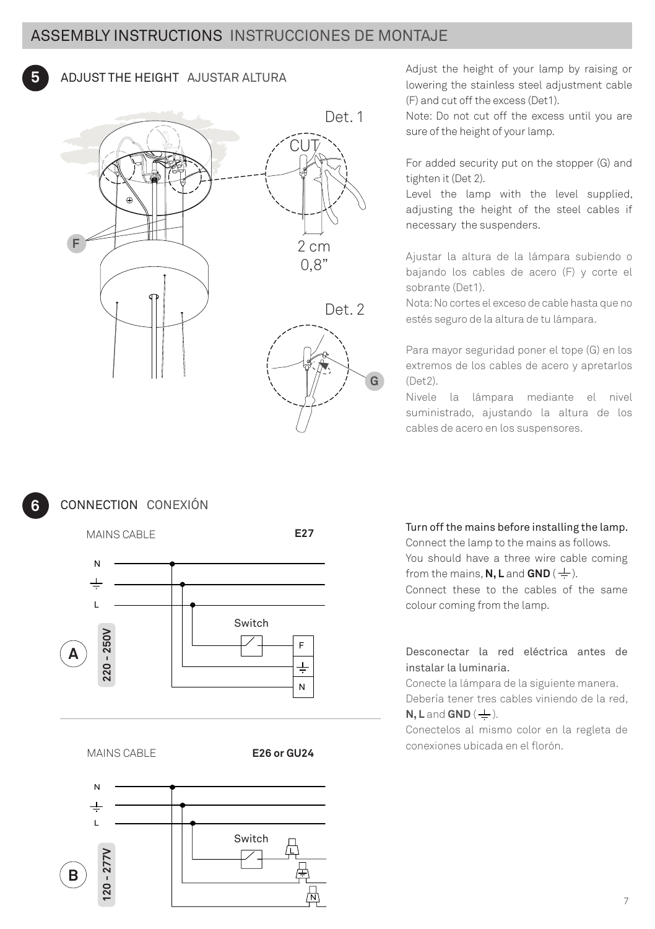

**5** ADJUST THE HEIGHT AJUSTAR ALTURA<br>
Invering the stainless steel adjustment cable lowering the stainless steel adjustment cable (F) and cut off the excess (Det1).

> Note: Do not cut off the excess until you are sure of the height of your lamp.

For added security put on the stopper (G) and tighten it (Det 2).

Level the lamp with the level supplied, adjusting the height of the steel cables if necessary the suspenders.

Ajustar la altura de la lámpara subiendo o bajando los cables de acero (F) y corte el sobrante (Det1).

Nota: No cortes el exceso de cable hasta que no estés seguro de la altura de tu lámpara.

Para mayor seguridad poner el tope (G) en los extremos de los cables de acero y apretarlos (Det2).

Nivele la lámpara mediante el nivel suministrado, ajustando la altura de los cables de acero en los suspensores.



CONNECTION CONEXIÓN



MAINS CABLE

**E26 or GU24**



# Turn off the mains before installing the lamp.

Connect the lamp to the mains as follows. You should have a three wire cable coming

from the mains, **N, L** and **GND** ( $\pm$ ).

Connect these to the cables of the same colour coming from the lamp.

Desconectar la red eléctrica antes de instalar la luminaria.

Conecte la lámpara de la siguiente manera.

Debería tener tres cables viniendo de la red,  $N$ , **L** and  $GND$  ( $\pm$ ).

Conectelos al mismo color en la regleta de conexiones ubicada en el florón.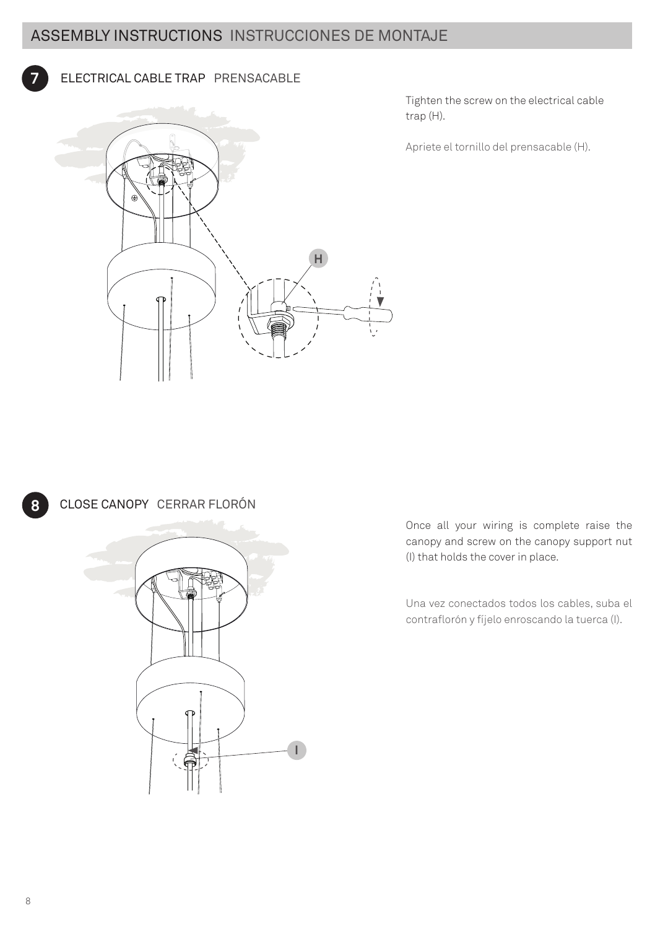#### ELECTRICAL CABLE TRAP PRENSACABLE **7**



Tighten the screw on the electrical cable trap (H).

Apriete el tornillo del prensacable (H).



**8** CLOSE CANOPY CERRAR FLORÓN



Once all your wiring is complete raise the canopy and screw on the canopy support nut (I) that holds the cover in place.

Una vez conectados todos los cables, suba el contraflorón y fíjelo enroscando la tuerca (I).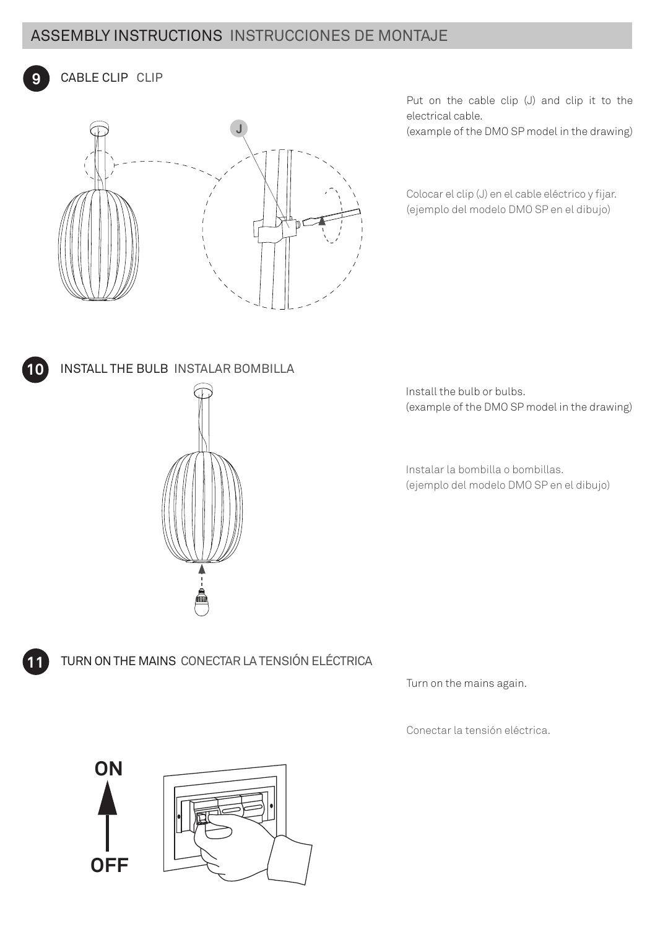# ASSEMBLY INSTRUCTIONS INSTRUCCIONES DE MONTAJE

CABLE CLIP CLIP



Put on the cable clip (J) and clip it to the electrical cable.

(example of the DMO SP model in the drawing)

Colocar el clip (J) en el cable eléctrico y fijar. (ejemplo del modelo DMO SP en el dibujo)



**9**

**11**

**10** INSTALL THE BULB INSTALAR BOMBILLA



Install the bulb or bulbs. (example of the DMO SP model in the drawing)

Instalar la bombilla o bombillas. (ejemplo del modelo DMO SP en el dibujo)

TURN ON THE MAINS CONECTAR LA TENSIÓN ELÉCTRICA

Turn on the mains again.

Conectar la tensión eléctrica.